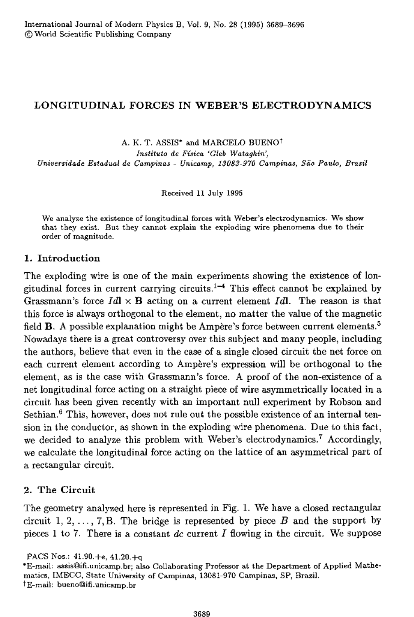# LONGITUDINAL FORCES IN WEBER'S ELECTRODYNAMICS

A. K. T. ASSIS\* and MARCELO BUENO<sup>†</sup> *instituta de Fisica 'Gleb Wataghin', Universidade Estadual de Camp;nas* - *Unicamp, 13083-970 Campinas, Sao Paula, Brasil* 

Received 11 July 1995

We analyze the existence of longitudinal forces with Weber's electrodynamics. We show that they exist. But they cannot explain the exploding wire phenomena due to their order of magnitude.

### 1. Introduction

The exploding wire is one of the main experiments showing the existence of longitudinal forces in current carrying circuits.<sup>1-4</sup> This effect cannot be explained by Grassmann's force  $Id \times B$  acting on a current element Idl. The reason is that this force is always orthogonal to the element, no matter the value of the magnetic field **B**. A possible explanation might be Ampère's force between current elements.<sup>5</sup> Nowadays there is a great controversy over this subject and many people, including the authors, believe that even in the case of a single dosed circuit the net force on each current element according to Ampère's expression will be orthogonal to the element, as is the case with Grassmann's force. A proof of the non-existence of a net longitudinal force acting on a straight piece of wire asymmetrically located in a circuit has been given recently with an important null experiment by Robson and Sethian.<sup>6</sup> This, however, does not rule out the possible existence of an internal tension in the conductor, as shown in the exploding wire phenomena. Due to this fact, we decided to analyze this problem with Weber's electrodynamics.7 Accordingly, we calculate the longitudinal force acting on the lattice of an asymmetrical part of a rectangular circuit.

### 2. The Circuit

The geometry analyzed here is represented in Fig. 1. We have a closed rectangular circuit 1, 2,  $\ldots$ , 7, B. The bridge is represented by piece B and the support by pieces 1 to 7. There is a constant *dc* current J flowing in the circuit. We suppose

PACS Nos.: 41.90.+e, 41.20.+q

<sup>&</sup>quot;E-maiL assis@ifi.unicamp.br; also Collaborating Professor at the Department of Applied Mathematics, IMECC, State University of Campinas, 13081-970 Campinas, SP, Brazil.  $\dagger$ E-mail: bueno@ifi.unicamp.br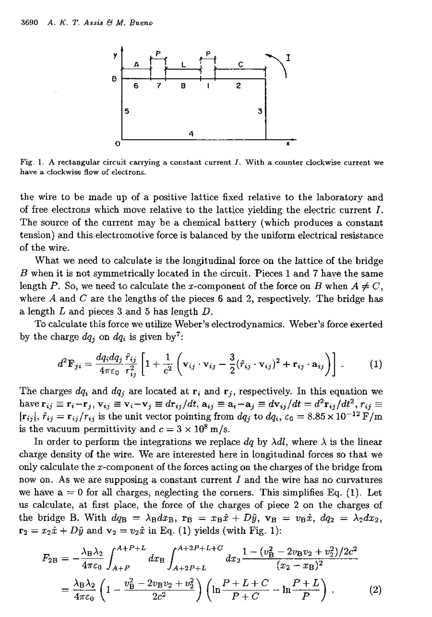

Fig. 1. A rectangular circuit carrying a constant current I. With a counter clockwise current *we*  have a clockwise flow of electrons.

the wire to be made up of a positive lattice fixed relative to the laboratory and of free electrons which move relative to the lattice yielding the electric current I. The source of the current may be a chemical battery (which produces a constant tension) and this electromotive force is balanced by the uniform electrical resistance of the wire.

What we need to calculate is the longitudinal force on the lattice of the bridge B when it is not symmetrically located in the circuit. Pieces 1 and 7 have the same length P. So, we need to calculate the x-component of the force on B when  $A \neq C$ , where  $A$  and  $C$  are the lengths of the pieces 6 and 2, respectively. The bridge has a length L and pieces 3 and 5 has length D.

To calculate this force we utilize Weber's electrodynamics. Weber's force exerted by the charge  $dq_i$  on  $dq_i$  is given by<sup>7</sup>:

$$
d^2 \mathbf{F}_{ji} = \frac{dq_i dq_j}{4\pi\epsilon_0} \frac{\hat{r}_{ij}}{r_{ij}^2} \left[ 1 + \frac{1}{c^2} \left( \mathbf{v}_{ij} \cdot \mathbf{v}_{ij} - \frac{3}{2} (\hat{r}_{ij} \cdot \mathbf{v}_{ij})^2 + \mathbf{r}_{ij} \cdot \mathbf{a}_{ij} \right) \right] . \tag{1}
$$

The charges  $dq_i$  and  $dq_j$  are located at  $r_i$  and  $r_j$ , respectively. In this equation we have  $\mathbf{r}_{ij} \equiv \mathbf{r}_i - \mathbf{r}_j$ ,  $\mathbf{v}_{ij} \equiv \mathbf{v}_i - \mathbf{v}_j \equiv d\mathbf{r}_{ij}/dt$ ,  $\mathbf{a}_{ij} \equiv \mathbf{a}_i - \mathbf{a}_j \equiv d\mathbf{v}_{ij}/dt = d^2\mathbf{r}_{ij}/dt^2$ ,  $r_{ij} \equiv$  $|\mathbf{r}_{ij}|$ ,  $\hat{r}_{ij} = \mathbf{r}_{ij}/r_{ij}$  is the unit vector pointing from  $dq_i$  to  $dq_i$ ,  $\varepsilon_0 = 8.85 \times 10^{-12} \text{ F/m}$ is the vacuum permittivity and  $c = 3 \times 10^8$  m/s.

In order to perform the integrations we replace  $dq$  by  $\lambda dl$ , where  $\lambda$  is the linear charge density of the wire. We are interested here in longitudinal forces so that we only calculate the x-component of the forces acting on the charges of the bridge from now on. As we are supposing a constant current  $I$  and the wire has no curvatures we have  $a = 0$  for all charges, neglecting the corners. This simplifies Eq. (1). Let us calculate, at first place, the force of the charges of piece 2 on the charges of the bridge B. With  $dq_B = \lambda_B dx_B$ ,  $\mathbf{r}_B = x_B \hat{x} + D\hat{y}$ ,  $\mathbf{v}_B = v_B \hat{x}$ ,  $dq_2 = \lambda_2 dx_2$ ,

$$
\mathbf{r}_{2} = x_{2}\hat{x} + D\hat{y} \text{ and } \mathbf{v}_{2} = v_{2}\hat{x} \text{ in Eq. (1) yields (with Fig. 1):}
$$
\n
$$
F_{2B} = -\frac{\lambda_{B}\lambda_{2}}{4\pi\varepsilon_{0}} \int_{A+P}^{A+P+L} dx_{B} \int_{A+2P+L}^{A+2P+L+C} dx_{2} \frac{1 - (v_{B}^{2} - 2v_{B}v_{2} + v_{2}^{2})/2c^{2}}{(x_{2} - x_{B})^{2}}
$$
\n
$$
= \frac{\lambda_{B}\lambda_{2}}{4\pi\varepsilon_{0}} \left(1 - \frac{v_{B}^{2} - 2v_{B}v_{2} + v_{2}^{2}}{2c^{2}}\right) \left(\ln\frac{P+L+C}{P+C} - \ln\frac{P+L}{P}\right). \tag{2}
$$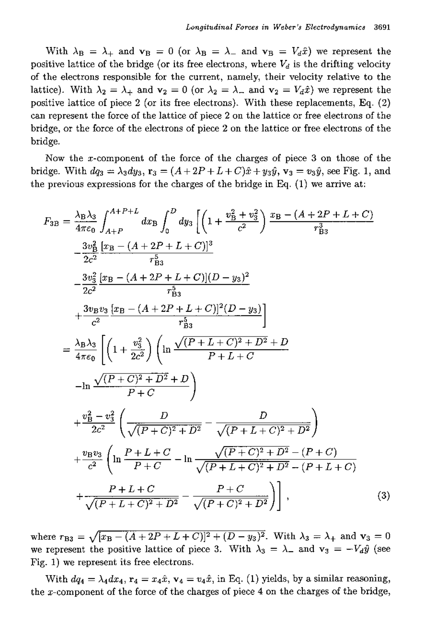With  $\lambda_B = \lambda_+$  and  $\mathbf{v}_B = 0$  (or  $\lambda_B = \lambda_-$  and  $\mathbf{v}_B = V_d \hat{x}$ ) we represent the positive lattice of the bridge (or its free electrons, where  $V_d$  is the drifting velocity of the electrons responsible for the current, namely, their velocity relative to the lattice). With  $\lambda_2 = \lambda_+$  and  $\mathbf{v}_2 = 0$  (or  $\lambda_2 = \lambda_-$  and  $\mathbf{v}_2 = V_d \hat{x}$ ) we represent the positive lattice of piece 2 (or its free electrons). With these replacements, Eq. (2) can represent the force of the lattice of piece 2 on the lattice or free electrons of the bridge, or the force of the electrons of piece 2 on the lattice or free electrons of the bridge.

Now the x-component of the force of the charges of piece 3 on those of the bridge. With  $dq_3 = \lambda_3 dy_3$ ,  $\mathbf{r}_3 = (A + 2P + L + C)\hat{x} + y_3\hat{y}$ ,  $\mathbf{v}_3 = v_3\hat{y}$ , see Fig. 1, and the previous expressions for the charges of the bridge in Eq.  $(1)$  we arrive at:

$$
F_{3B} = \frac{\lambda_{B}\lambda_{3}}{4\pi\epsilon_{0}} \int_{A+P}^{A+P+L} dx_{B} \int_{0}^{D} dy_{3} \left[ \left( 1 + \frac{v_{B}^{2} + v_{3}^{2}}{c^{2}} \right) \frac{x_{B} - (A + 2P + L + C)}{r_{B3}^{3}} - \frac{3v_{B}^{2}}{2c^{2}} \frac{[x_{B} - (A + 2P + L + C)]^{3}}{r_{B3}^{5}} - \frac{3v_{3}^{2}}{2c^{2}} \frac{[x_{B} - (A + 2P + L + C)](D - y_{3})^{2}}{r_{B3}^{5}} + \frac{3v_{B}v_{3}}{c^{2}} \frac{[x_{B} - (A + 2P + L + C)]^{2}(D - y_{3})}{r_{B3}^{5}} \right]
$$
  
\n
$$
= \frac{\lambda_{B}\lambda_{3}}{4\pi\epsilon_{0}} \left[ \left( 1 + \frac{v_{3}^{2}}{2c^{2}} \right) \left( \ln \frac{\sqrt{(P + L + C)^{2} + D^{2} + D}}{P + L + C} + D \right) \right] - \ln \frac{\sqrt{(P + C)^{2} + D^{2} + D}}{P + C} + \frac{v_{B}^{2} - v_{3}^{2}}{2c^{2}} \left( \frac{D}{\sqrt{(P + C)^{2} + D^{2}}} - \frac{D}{\sqrt{(P + L + C)^{2} + D^{2}}} \right) + \frac{v_{B}v_{3}}{c^{2}} \left( \ln \frac{P + L + C}{P + C} - \ln \frac{\sqrt{(P + C)^{2} + D^{2} - (P + C)}}{\sqrt{(P + L + C)^{2} + D^{2} - (P + L + C)}} + \frac{P + L + C}{\sqrt{(P + L + C)^{2} + D^{2}} - \frac{P + C}{\sqrt{(P + C)^{2} + D^{2}}} \right), \quad (3)
$$

where  $r_{B3} = \sqrt{(x_B - (A + 2P + L + C))^2 + (D - y_3)^2}$ . With  $\lambda_3 = \lambda_+$  and  $\mathbf{v}_3 = 0$ we represent the positive lattice of piece 3. With  $\lambda_3 = \lambda_-$  and  $v_3 = -V_d\hat{y}$  (see Fig. 1) we represent its free electrons.

With  $dq_4 = \lambda_4 dx_4$ ,  $\mathbf{r}_4 = x_4 \hat{x}$ ,  $\mathbf{v}_4 = v_4 \hat{x}$ , in Eq. (1) yields, by a similar reasoning, the x-component of the force of the charges of piece 4 on the charges of the bridge,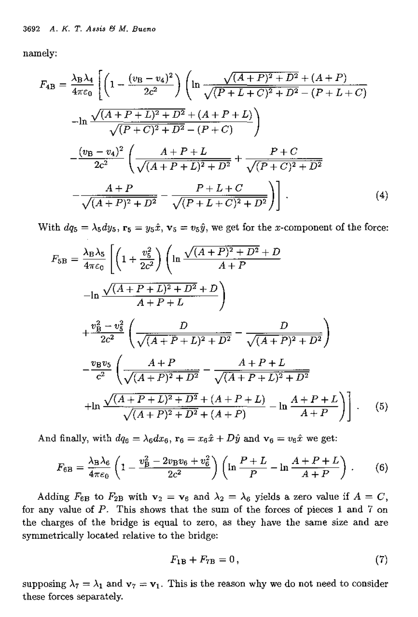namely:

$$
F_{4B} = \frac{\lambda_B \lambda_4}{4\pi\epsilon_0} \left[ \left( 1 - \frac{(v_B - v_4)^2}{2c^2} \right) \left( \ln \frac{\sqrt{(A+P)^2 + D^2} + (A+P)}{\sqrt{(P+L+C)^2 + D^2} - (P+L+C)} \right) -\ln \frac{\sqrt{(A+P+L)^2 + D^2} + (A+P+L)}{\sqrt{(P+C)^2 + D^2} - (P+C)} \right]
$$

$$
-\frac{(v_B - v_4)^2}{2c^2} \left( \frac{A+P+L}{\sqrt{(A+P+L)^2 + D^2}} + \frac{P+C}{\sqrt{(P+C)^2 + D^2}} \right)
$$

$$
-\frac{A+P}{\sqrt{(A+P)^2 + D^2}} - \frac{P+L+C}{\sqrt{(P+L+C)^2 + D^2}} \right]. \tag{4}
$$

With  $dq_5 = \lambda_5 dy_5$ ,  $\mathbf{r}_5 = y_5 \hat{x}$ ,  $\mathbf{v}_5 = v_5 \hat{y}$ , we get for the *x*-component of the force:

$$
F_{5B} = \frac{\lambda_{B}\lambda_{5}}{4\pi\epsilon_{0}} \left[ \left( 1 + \frac{v_{5}^{2}}{2c^{2}} \right) \left( \ln \frac{\sqrt{(A+P)^{2} + D^{2}} + D}{A+P} \right) \right]
$$

$$
- \ln \frac{\sqrt{(A+P+L)^{2} + D^{2}} + D}{A+P+L} \right)
$$

$$
+ \frac{v_{B}^{2} - v_{5}^{2}}{2c^{2}} \left( \frac{D}{\sqrt{(A+P+L)^{2} + D^{2}}} - \frac{D}{\sqrt{(A+P)^{2} + D^{2}}} \right)
$$

$$
- \frac{v_{B}v_{5}}{c^{2}} \left( \frac{A+P}{\sqrt{(A+P)^{2} + D^{2}}} - \frac{A+P+L}{\sqrt{(A+P+L)^{2} + D^{2}}} \right)
$$

$$
+ \ln \frac{\sqrt{(A+P+L)^{2} + D^{2}} + (A+P+L)}{\sqrt{(A+P)^{2} + D^{2}} + (A+P)} - \ln \frac{A+P+L}{A+P} \right) \Big] . \tag{5}
$$

And finally, with  $dq_6 = \lambda_6 dx_6$ ,  $\mathbf{r}_6 = x_6 \hat{x} + D \hat{y}$  and  $\mathbf{v}_6 = v_6 \hat{x}$  we get:

$$
F_{6B} = \frac{\lambda_{B}\lambda_{6}}{4\pi\epsilon_{0}} \left(1 - \frac{v_{B}^{2} - 2v_{B}v_{6} + v_{6}^{2}}{2c^{2}}\right) \left(\ln\frac{P+L}{P} - \ln\frac{A+P+L}{A+P}\right).
$$
 (6)

Adding  $F_{6B}$  to  $F_{2B}$  with  $\mathbf{v}_2 = \mathbf{v}_6$  and  $\lambda_2 = \lambda_6$  yields a zero value if  $A = C$ , for any value of P. This shows that the sum of the forces of pieces 1 and 7 on the charges of the bridge is equal to zero, as they have the same size and are symmetrically located relative to the bridge:

$$
F_{1B} + F_{7B} = 0, \t\t(7)
$$

supposing  $\lambda_7 = \lambda_1$  and  $\mathbf{v}_7 = \mathbf{v}_1$ . This is the reason why we do not need to consider these forces separately.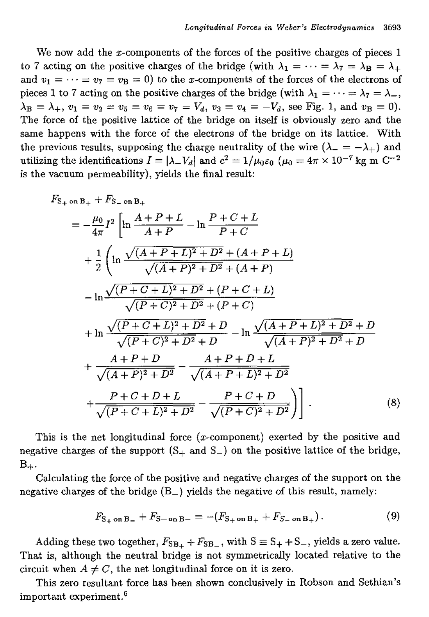We now add the x-components of the forces of the positive charges of pieces 1 to 7 acting on the positive charges of the bridge (with  $\lambda_1 = \cdots = \lambda_7 = \lambda_B = \lambda_+$ and  $v_1 = \cdots = v_7 = v_B = 0$  to the x-components of the forces of the electrons of pieces 1 to 7 acting on the positive charges of the bridge (with  $\lambda_1 = \cdots = \lambda_7 = \lambda_7$ ,  $\lambda_B = \lambda_+, v_1 = v_2 = v_5 = v_6 = v_7 = V_d, v_3 = v_4 = -V_d$ , see Fig. 1, and  $v_B = 0$ ). The force of the positive lattice of the bridge on itself is obviously zero and the same happens with the force of the electrons of the bridge on its lattice. With the previous results, supposing the charge neutrality of the wire  $(\lambda_- = -\lambda_+)$  and utilizing the identifications  $I = |\lambda - V_d|$  and  $c^2 = 1/\mu_0 \varepsilon_0$  ( $\mu_0 = 4\pi \times 10^{-7}$  kg m C<sup>-2</sup> is the vacuum permeability), yields the final result:

$$
F_{S_{+} \text{ on } B_{+}} + F_{S_{-} \text{ on } B_{+}}
$$
\n
$$
= -\frac{\mu_{0}}{4\pi} I^{2} \left[ \ln \frac{A+P+L}{A+P} - \ln \frac{P+C+L}{P+C} + \frac{1}{2} \left( \ln \frac{\sqrt{(A+P+L)^{2}+D^{2}+(A+P+L)}}{\sqrt{(A+P)^{2}+D^{2}+(A+P)}} - \ln \frac{\sqrt{(P+C+L)^{2}+D^{2}+(P+C+L)}}{\sqrt{(P+C)^{2}+D^{2}+(P+C)}} + \ln \frac{\sqrt{(P+C+L)^{2}+D^{2}+D}}{\sqrt{(P+C)^{2}+D^{2}+D}} - \ln \frac{\sqrt{(A+P+L)^{2}+D^{2}+D}}{\sqrt{(A+P)^{2}+D^{2}+D}} + \frac{A+P+D}{\sqrt{(A+P)^{2}+D^{2}}} - \frac{A+P+D+L}{\sqrt{(A+P+L)^{2}+D^{2}}} + \frac{P+C+D+L}{\sqrt{(P+C+L)^{2}+D^{2}}} - \frac{P+C+D}{\sqrt{(P+C)^{2}+D^{2}}} \right]. \tag{8}
$$

This is the net longitudinal force  $(x$ -component) exerted by the positive and negative charges of the support  $(S_+$  and  $S_-$ ) on the positive lattice of the bridge,  $B_{+}$ .

Calculating the force of the positive and negative charges of the support on the negative charges of the bridge  $(B_+)$  yields the negative of this result, namely:

$$
F_{S_+ \text{ on } B_-} + F_{S - \text{ on } B_-} = -(F_{S_+ \text{ on } B_+} + F_{S_- \text{ on } B_+}). \tag{9}
$$

Adding these two together,  $F_{SB_+} + F_{SB_-}$ , with  $S \equiv S_+ + S_-$ , yields a zero value. That is, although the neutral bridge is not symmetrically located relative to the circuit when  $A \neq C$ , the net longitudinal force on it is zero.

This zero resultant force has been shown conclusively in Robson and Sethian's important experiment.6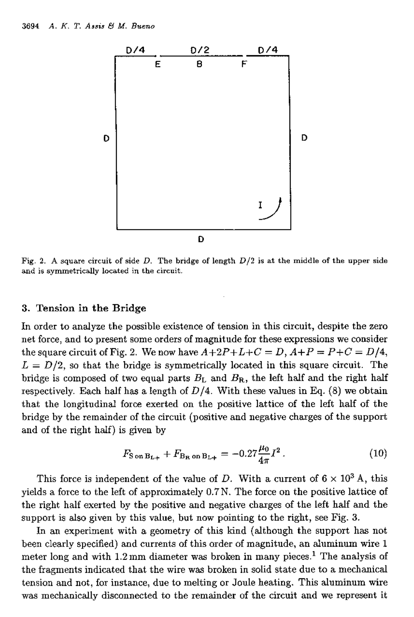

Fig. 2. A square circuit of side  $D$ . The bridge of length  $D/2$  is at the middle of the upper side and is symmetrically located in the circuit.

#### 3. Tension in **the** Bridge

In order to analyze the possible existence of tension in this circuit, despite the zero net force, and to present some orders of magnitude for these expressions we consider the square circuit of Fig. 2. We now have  $A+2P+L+C = D$ ,  $A+P = P+C = D/4$ ,  $L = D/2$ , so that the bridge is symmetrically located in this square circuit. The bridge is composed of two equal parts  $B_L$  and  $B_R$ , the left half and the right half respectively. Each half has a length of  $D/4$ . With these values in Eq. (8) we obtain that the longitudinal force exerted on the positive lattice of the left half of the bridge by the remainder of the circuit (positive and negative charges of the support and of the right half) is given by

$$
F_{\rm S\,on\,B_{L+}} + F_{\rm B_R\,on\,B_{L+}} = -0.27 \frac{\mu_0}{4\pi} I^2 \,. \tag{10}
$$

This force is independent of the value of D. With a current of  $6 \times 10^3$  A, this yields a force to the left of approximately 0.7N. The force on the positive lattice of the right half exerted by the positive and negative charges of the left half and the support is also given by this value, but now pointing to the right, see Fig. 3.

In an experiment with a geometry of this kind (although the support has not been clearly specified) and currents of this order of magnitude, an aluminum wire 1 meter long and with 1.2 mm diameter was broken in many pieces.<sup>1</sup> The analysis of the fragments indicated that the wire was broken in solid state due to a mechanical tension and not, for instance, due to melting or Joule heating. This aluminum wire was mechanically disconnected to the remainder of the circuit and we represent it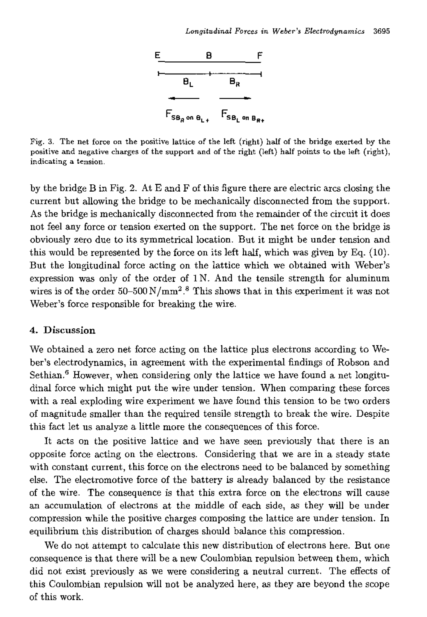

Fig. 3. The *net* force on the positive lattice of the left (right) half of the bridge exerted by the positive and negative charges of the support and of the right (left) half points to the left (right), indicating a tension.

by the bridge B in Fig. 2. At E and F of this figure there are electric arcs closing the current but allowing the bridge to be mechanically disconnected from the support. As the bridge is mechanically disconnected from the remainder of the circuit it does not feel any force or tension exerted on the support. The net force on the bridge is obviously zero due to its symmetrical location. But it might be under tension and this would be represented by the force on its left half, which was given by Eq. (10). But the longitudinal force acting on the lattice which we obtained with Weber's expression was only of the order of  $1 N$ . And the tensile strength for aluminum wires is of the order  $50-500\,\mathrm{N/mm^2}$ .<sup>8</sup> This shows that in this experiment it was not Weber's force responsible for breaking the wire.

### 4. Discussion

We obtained a zero net force acting on the lattice plus electrons according to Weber's electrodynamics, in agreement with the experimental findings of Robson and Sethian.<sup>6</sup> However, when considering only the lattice we have found a net longitudinal force which might put the wire under tension. When comparing these forces with a real exploding wire experiment we have found this tension to be two orders of magnitude smaller than the required tensile strength to break the wire. Despite this fact let us analyze a little more the consequences of this force.

It acts on the positive lattice and we have seen previously that there is an opposite force acting on the electrons. Considering that we are in a steady state with constant current, this force on the electrons need to be balanced by something else. The electromotive force of the battery is already balanced by the resistance of the wire. The consequence is that this extra force on the electrons will cause an accumulation of electrons at the middle of each side, as they will be under compression while the positive charges composing the lattice are under tension. In equilibrium this distribution of charges should balance this compression.

We do not attempt to calculate this new distribution of electrons here. But one consequence is that there will be a new Coulombian repulsion between them, which did not exist previously as we were considering a neutral current. The effects of this Coulombian repulsion will not be analyzed here, as they are beyond the scope of this work.